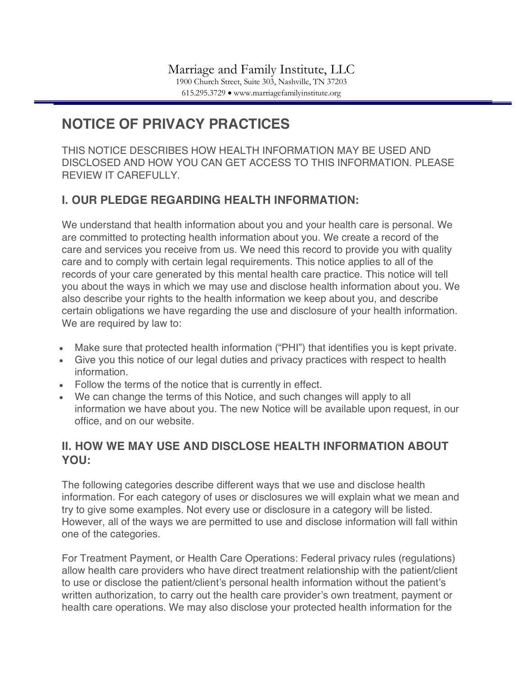# **NOTICE OF PRIVACY PRACTICES**

THIS NOTICE DESCRIBES HOW HEALTH INFORMATION MAY BE USED AND DISCLOSED AND HOW YOU CAN GET ACCESS TO THIS INFORMATION. PLEASE REVIEW IT CAREFULLY.

## **I. OUR PLEDGE REGARDING HEALTH INFORMATION:**

We understand that health information about you and your health care is personal. We are committed to protecting health information about you. We create a record of the care and services you receive from us. We need this record to provide you with quality care and to comply with certain legal requirements. This notice applies to all of the records of your care generated by this mental health care practice. This notice will tell you about the ways in which we may use and disclose health information about you. We also describe your rights to the health information we keep about you, and describe certain obligations we have regarding the use and disclosure of your health information. We are required by law to:

- Make sure that protected health information ("PHI") that identifies you is kept private.
- Give you this notice of our legal duties and privacy practices with respect to health information.
- Follow the terms of the notice that is currently in effect.
- We can change the terms of this Notice, and such changes will apply to all information we have about you. The new Notice will be available upon request, in our office, and on our website.

### **II. HOW WE MAY USE AND DISCLOSE HEALTH INFORMATION ABOUT YOU:**

The following categories describe different ways that we use and disclose health information. For each category of uses or disclosures we will explain what we mean and try to give some examples. Not every use or disclosure in a category will be listed. However, all of the ways we are permitted to use and disclose information will fall within one of the categories.

For Treatment Payment, or Health Care Operations: Federal privacy rules (regulations) allow health care providers who have direct treatment relationship with the patient/client to use or disclose the patient/client's personal health information without the patient's written authorization, to carry out the health care provider's own treatment, payment or health care operations. We may also disclose your protected health information for the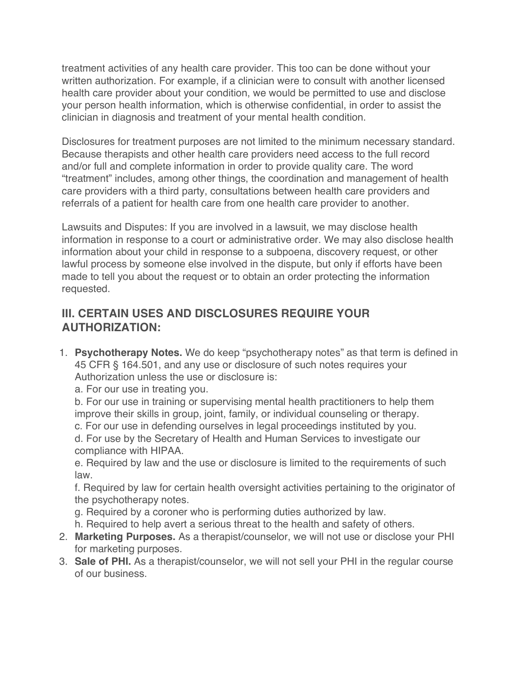treatment activities of any health care provider. This too can be done without your written authorization. For example, if a clinician were to consult with another licensed health care provider about your condition, we would be permitted to use and disclose your person health information, which is otherwise confidential, in order to assist the clinician in diagnosis and treatment of your mental health condition.

Disclosures for treatment purposes are not limited to the minimum necessary standard. Because therapists and other health care providers need access to the full record and/or full and complete information in order to provide quality care. The word "treatment" includes, among other things, the coordination and management of health care providers with a third party, consultations between health care providers and referrals of a patient for health care from one health care provider to another.

Lawsuits and Disputes: If you are involved in a lawsuit, we may disclose health information in response to a court or administrative order. We may also disclose health information about your child in response to a subpoena, discovery request, or other lawful process by someone else involved in the dispute, but only if efforts have been made to tell you about the request or to obtain an order protecting the information requested.

### **III. CERTAIN USES AND DISCLOSURES REQUIRE YOUR AUTHORIZATION:**

1. **Psychotherapy Notes.** We do keep "psychotherapy notes" as that term is defined in 45 CFR § 164.501, and any use or disclosure of such notes requires your Authorization unless the use or disclosure is:

a. For our use in treating you.

b. For our use in training or supervising mental health practitioners to help them improve their skills in group, joint, family, or individual counseling or therapy.

c. For our use in defending ourselves in legal proceedings instituted by you.

d. For use by the Secretary of Health and Human Services to investigate our compliance with HIPAA.

e. Required by law and the use or disclosure is limited to the requirements of such law.

f. Required by law for certain health oversight activities pertaining to the originator of the psychotherapy notes.

- g. Required by a coroner who is performing duties authorized by law.
- h. Required to help avert a serious threat to the health and safety of others.
- 2. **Marketing Purposes.** As a therapist/counselor, we will not use or disclose your PHI for marketing purposes.
- 3. **Sale of PHI.** As a therapist/counselor, we will not sell your PHI in the regular course of our business.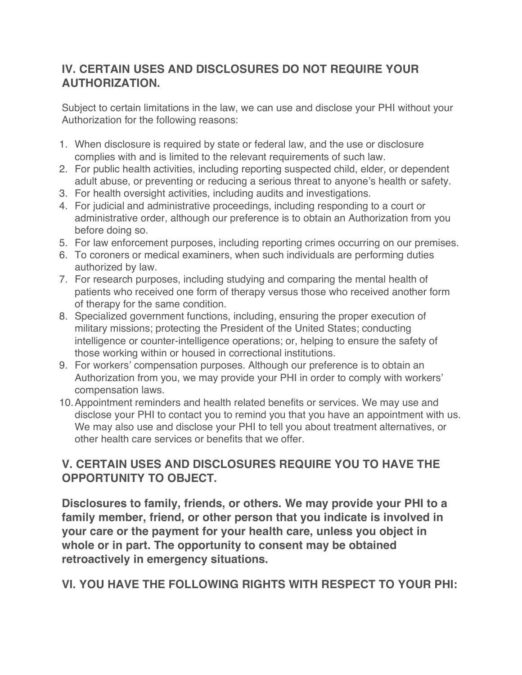# **IV. CERTAIN USES AND DISCLOSURES DO NOT REQUIRE YOUR AUTHORIZATION.**

Subject to certain limitations in the law, we can use and disclose your PHI without your Authorization for the following reasons:

- 1. When disclosure is required by state or federal law, and the use or disclosure complies with and is limited to the relevant requirements of such law.
- 2. For public health activities, including reporting suspected child, elder, or dependent adult abuse, or preventing or reducing a serious threat to anyone's health or safety.
- 3. For health oversight activities, including audits and investigations.
- 4. For judicial and administrative proceedings, including responding to a court or administrative order, although our preference is to obtain an Authorization from you before doing so.
- 5. For law enforcement purposes, including reporting crimes occurring on our premises.
- 6. To coroners or medical examiners, when such individuals are performing duties authorized by law.
- 7. For research purposes, including studying and comparing the mental health of patients who received one form of therapy versus those who received another form of therapy for the same condition.
- 8. Specialized government functions, including, ensuring the proper execution of military missions; protecting the President of the United States; conducting intelligence or counter-intelligence operations; or, helping to ensure the safety of those working within or housed in correctional institutions.
- 9. For workers' compensation purposes. Although our preference is to obtain an Authorization from you, we may provide your PHI in order to comply with workers' compensation laws.
- 10.Appointment reminders and health related benefits or services. We may use and disclose your PHI to contact you to remind you that you have an appointment with us. We may also use and disclose your PHI to tell you about treatment alternatives, or other health care services or benefits that we offer.

# **V. CERTAIN USES AND DISCLOSURES REQUIRE YOU TO HAVE THE OPPORTUNITY TO OBJECT.**

**Disclosures to family, friends, or others. We may provide your PHI to a family member, friend, or other person that you indicate is involved in your care or the payment for your health care, unless you object in whole or in part. The opportunity to consent may be obtained retroactively in emergency situations.**

**VI. YOU HAVE THE FOLLOWING RIGHTS WITH RESPECT TO YOUR PHI:**